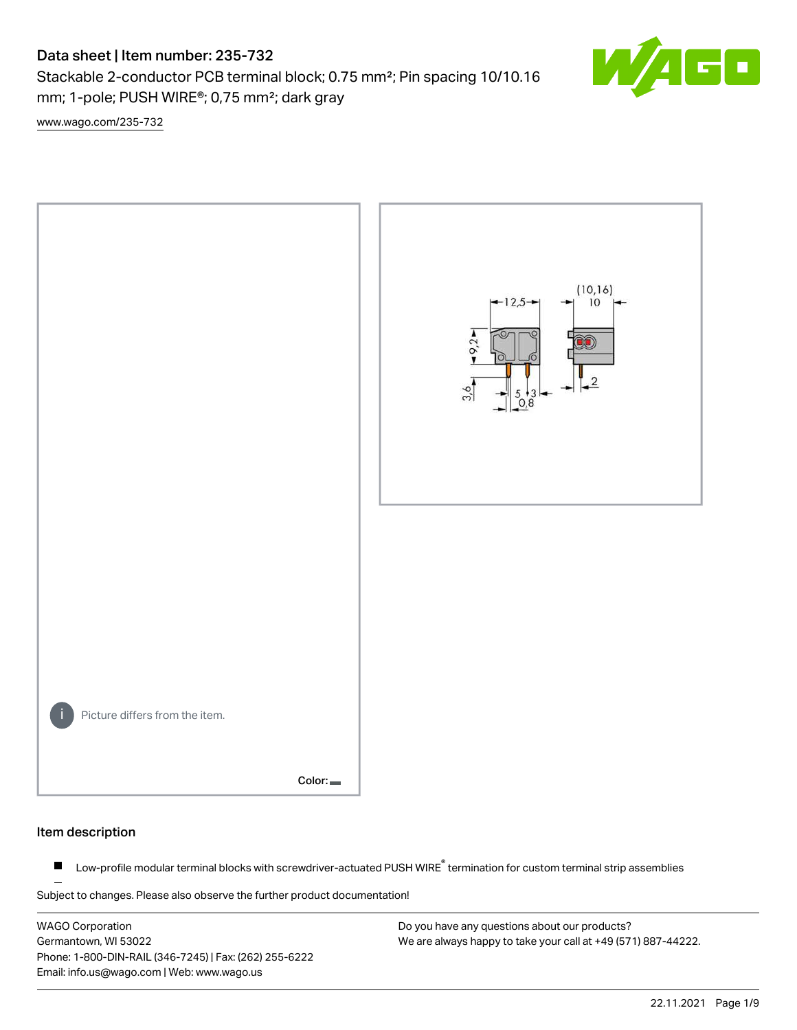# Data sheet | Item number: 235-732

Stackable 2-conductor PCB terminal block; 0.75 mm²; Pin spacing 10/10.16 mm; 1-pole; PUSH WIRE®; 0,75 mm²; dark gray

[www.wago.com/235-732](http://www.wago.com/235-732)



#### Item description

Low-profile modular terminal blocks with screwdriver-actuated PUSH WIRE<sup>®</sup> termination for custom terminal strip assemblies  $\blacksquare$ 

Subject to changes. Please also observe the further product documentation!

WAGO Corporation Germantown, WI 53022 Phone: 1-800-DIN-RAIL (346-7245) | Fax: (262) 255-6222 Email: info.us@wago.com | Web: www.wago.us

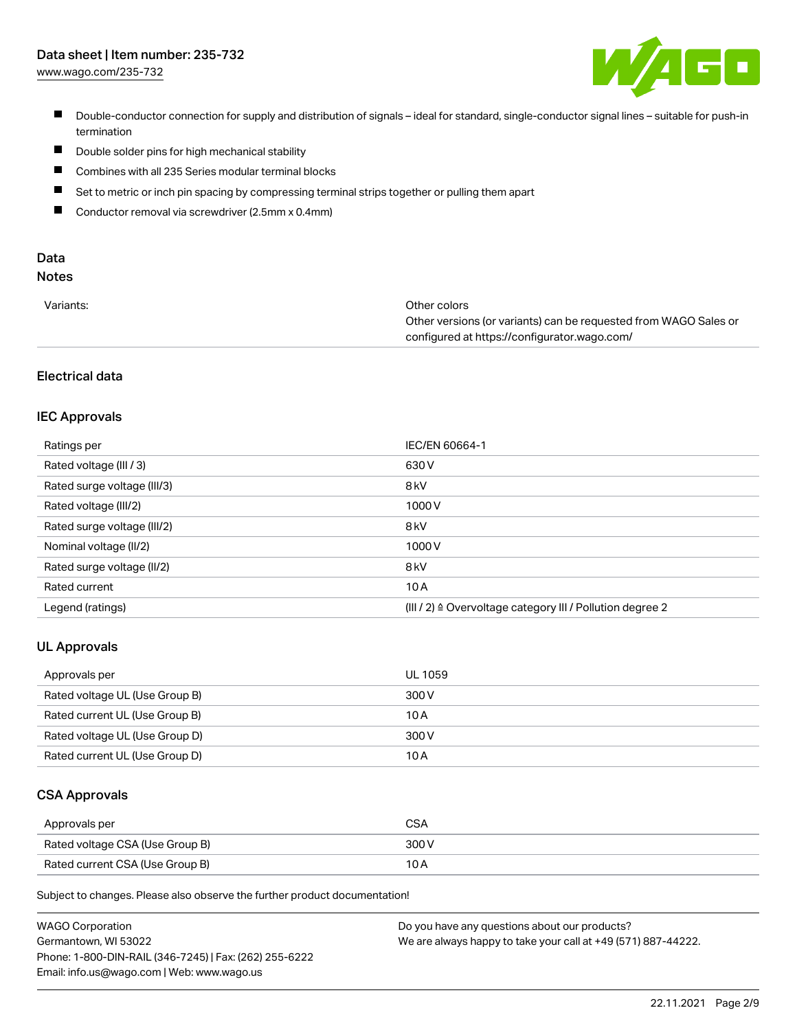# Data sheet | Item number: 235-732

[www.wago.com/235-732](http://www.wago.com/235-732)



- Double-conductor connection for supply and distribution of signals ideal for standard, single-conductor signal lines suitable for push-in termination
- $\blacksquare$ Double solder pins for high mechanical stability
- $\blacksquare$ Combines with all 235 Series modular terminal blocks
- $\blacksquare$ Set to metric or inch pin spacing by compressing terminal strips together or pulling them apart
- $\blacksquare$ Conductor removal via screwdriver (2.5mm x 0.4mm)

# Data

# Notes

| Variants: | Other colors                                                     |
|-----------|------------------------------------------------------------------|
|           | Other versions (or variants) can be requested from WAGO Sales or |
|           | configured at https://configurator.wago.com/                     |

# Electrical data

### IEC Approvals

| Ratings per                 | IEC/EN 60664-1                                                        |
|-----------------------------|-----------------------------------------------------------------------|
| Rated voltage (III / 3)     | 630 V                                                                 |
| Rated surge voltage (III/3) | 8 <sub>kV</sub>                                                       |
| Rated voltage (III/2)       | 1000V                                                                 |
| Rated surge voltage (III/2) | 8 <sub>kV</sub>                                                       |
| Nominal voltage (II/2)      | 1000V                                                                 |
| Rated surge voltage (II/2)  | 8 <sub>kV</sub>                                                       |
| Rated current               | 10A                                                                   |
| Legend (ratings)            | $(III / 2)$ $\triangle$ Overvoltage category III / Pollution degree 2 |

#### UL Approvals

| Approvals per                  | UL 1059 |
|--------------------------------|---------|
| Rated voltage UL (Use Group B) | 300 V   |
| Rated current UL (Use Group B) | 10 A    |
| Rated voltage UL (Use Group D) | 300 V   |
| Rated current UL (Use Group D) | 10 A    |

#### CSA Approvals

| Approvals per                   | CSA   |
|---------------------------------|-------|
| Rated voltage CSA (Use Group B) | 300 V |
| Rated current CSA (Use Group B) | 10 A  |

Subject to changes. Please also observe the further product documentation!

| <b>WAGO Corporation</b>                                | Do you have any questions about our products?                 |
|--------------------------------------------------------|---------------------------------------------------------------|
| Germantown, WI 53022                                   | We are always happy to take your call at +49 (571) 887-44222. |
| Phone: 1-800-DIN-RAIL (346-7245)   Fax: (262) 255-6222 |                                                               |
| Email: info.us@wago.com   Web: www.wago.us             |                                                               |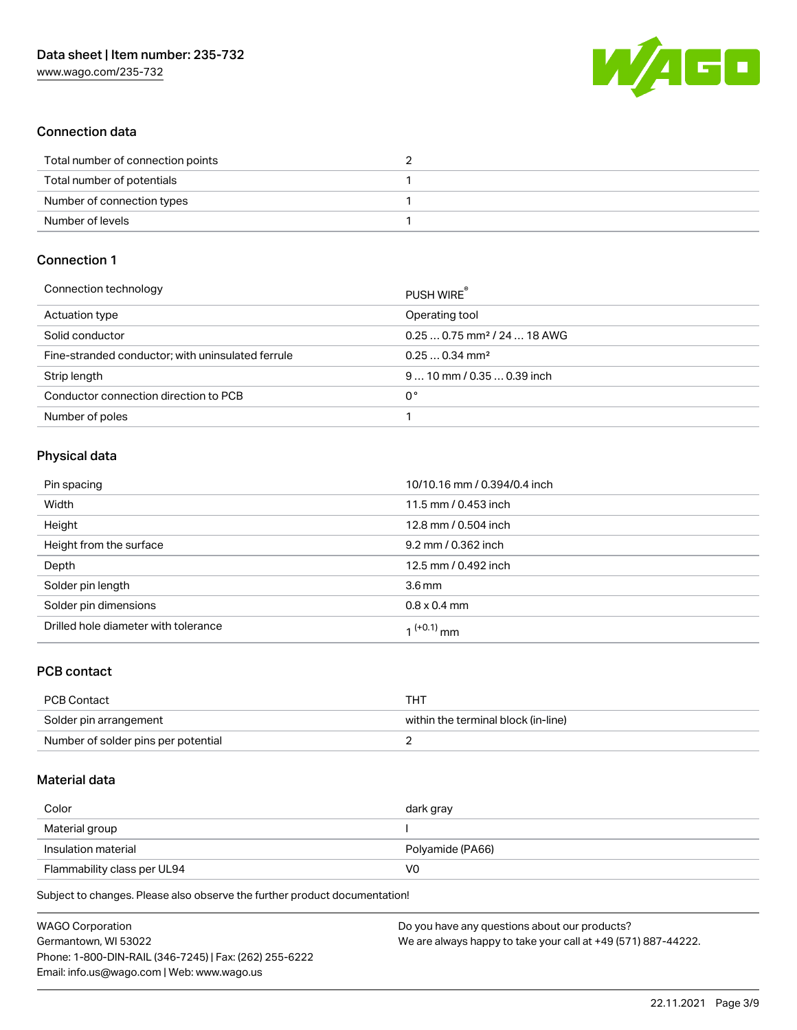

### Connection data

| Total number of connection points |  |
|-----------------------------------|--|
| Total number of potentials        |  |
| Number of connection types        |  |
| Number of levels                  |  |

## Connection 1

| PUSH WIRE                               |
|-----------------------------------------|
| Operating tool                          |
| $0.250.75$ mm <sup>2</sup> / 24  18 AWG |
| $0.250.34$ mm <sup>2</sup>              |
| $910$ mm / 0.35  0.39 inch              |
| 0°                                      |
|                                         |
|                                         |

### Physical data

| Pin spacing                          | 10/10.16 mm / 0.394/0.4 inch |
|--------------------------------------|------------------------------|
| Width                                | 11.5 mm / 0.453 inch         |
| Height                               | 12.8 mm / 0.504 inch         |
| Height from the surface              | 9.2 mm / 0.362 inch          |
| Depth                                | 12.5 mm / 0.492 inch         |
| Solder pin length                    | 3.6 <sub>mm</sub>            |
| Solder pin dimensions                | $0.8 \times 0.4$ mm          |
| Drilled hole diameter with tolerance | 1 <sup>(+0.1)</sup> mm       |

### PCB contact

| <b>PCB Contact</b>                  | THT                                 |
|-------------------------------------|-------------------------------------|
| Solder pin arrangement              | within the terminal block (in-line) |
| Number of solder pins per potential |                                     |

#### Material data

| Color                       | dark gray        |
|-----------------------------|------------------|
| Material group              |                  |
| Insulation material         | Polyamide (PA66) |
| Flammability class per UL94 | V0               |

Subject to changes. Please also observe the further product documentation!

| <b>WAGO Corporation</b>                                | Do you have any questions about our products?                 |
|--------------------------------------------------------|---------------------------------------------------------------|
| Germantown, WI 53022                                   | We are always happy to take your call at +49 (571) 887-44222. |
| Phone: 1-800-DIN-RAIL (346-7245)   Fax: (262) 255-6222 |                                                               |
| Email: info.us@wago.com   Web: www.wago.us             |                                                               |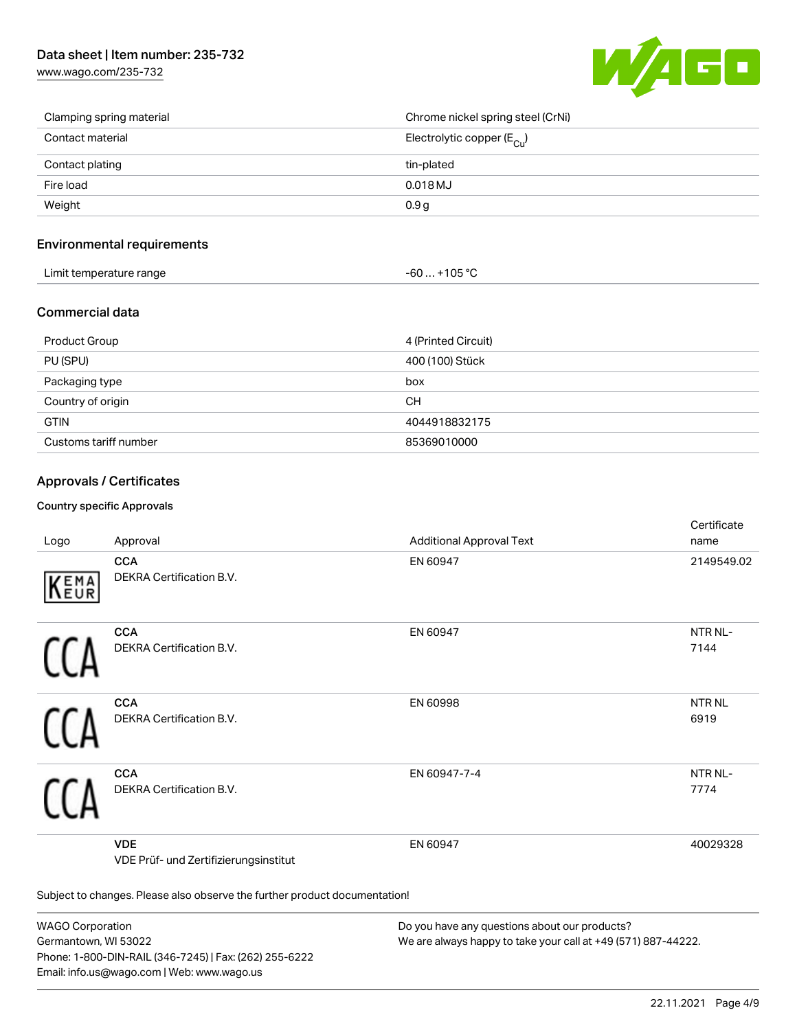[www.wago.com/235-732](http://www.wago.com/235-732)



| Clamping spring material | Chrome nickel spring steel (CrNi)       |
|--------------------------|-----------------------------------------|
| Contact material         | Electrolytic copper ( $E_{\text{Cu}}$ ) |
| Contact plating          | tin-plated                              |
| Fire load                | $0.018$ MJ                              |
| Weight                   | 0.9 <sub>g</sub>                        |

#### Environmental requirements

| Limit temperature range | $-60+105 °C$ |
|-------------------------|--------------|
|-------------------------|--------------|

#### Commercial data

| Product Group         | 4 (Printed Circuit) |
|-----------------------|---------------------|
| PU (SPU)              | 400 (100) Stück     |
| Packaging type        | box                 |
| Country of origin     | <b>CH</b>           |
| <b>GTIN</b>           | 4044918832175       |
| Customs tariff number | 85369010000         |

### Approvals / Certificates

#### Country specific Approvals

| Logo                                                                       | Approval                                            | <b>Additional Approval Text</b> | Certificate<br>name  |
|----------------------------------------------------------------------------|-----------------------------------------------------|---------------------------------|----------------------|
| EMA<br>EUR                                                                 | <b>CCA</b><br>DEKRA Certification B.V.              | EN 60947                        | 2149549.02           |
|                                                                            | <b>CCA</b><br>DEKRA Certification B.V.              | EN 60947                        | NTR NL-<br>7144      |
|                                                                            | <b>CCA</b><br>DEKRA Certification B.V.              | EN 60998                        | <b>NTRNL</b><br>6919 |
|                                                                            | <b>CCA</b><br>DEKRA Certification B.V.              | EN 60947-7-4                    | NTR NL-<br>7774      |
|                                                                            | <b>VDE</b><br>VDE Prüf- und Zertifizierungsinstitut | EN 60947                        | 40029328             |
| Subject to changes. Please also observe the further product documentation! |                                                     |                                 |                      |

WAGO Corporation Germantown, WI 53022 Phone: 1-800-DIN-RAIL (346-7245) | Fax: (262) 255-6222 Email: info.us@wago.com | Web: www.wago.us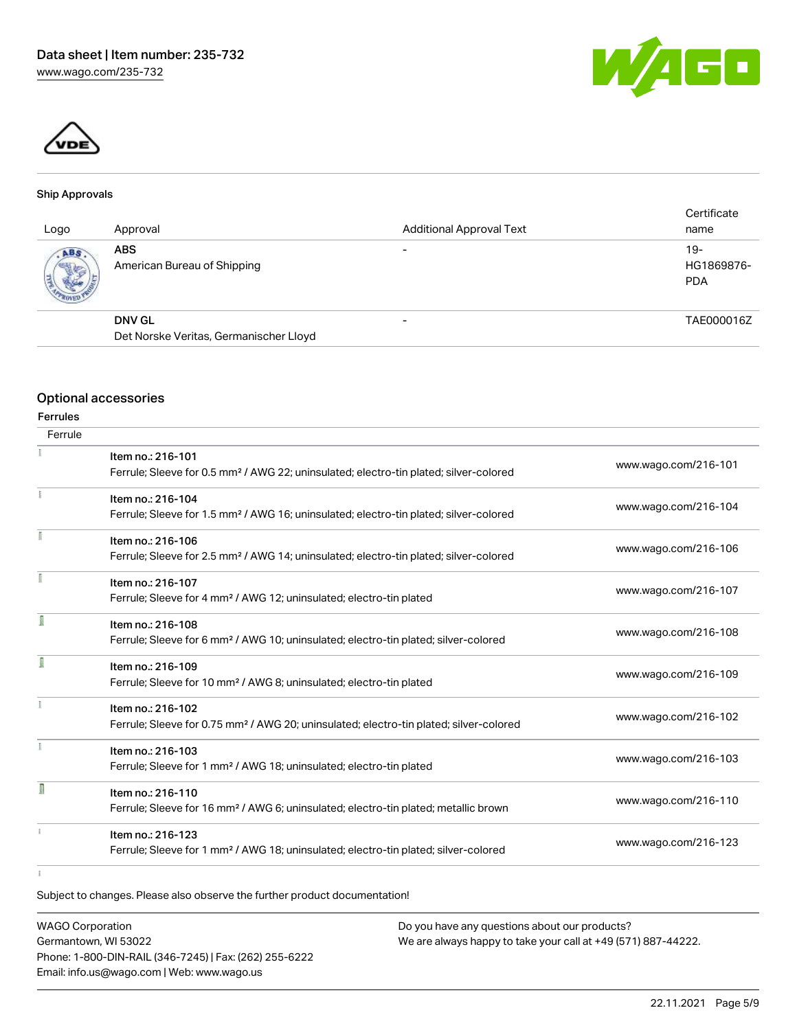



#### Ship Approvals

| Logo               | Approval                                                | <b>Additional Approval Text</b> | Certificate<br>name               |
|--------------------|---------------------------------------------------------|---------------------------------|-----------------------------------|
| ABS<br><b>SOFT</b> | <b>ABS</b><br>American Bureau of Shipping               |                                 | $19-$<br>HG1869876-<br><b>PDA</b> |
|                    | <b>DNV GL</b><br>Det Norske Veritas, Germanischer Lloyd |                                 | TAE000016Z                        |

#### Optional accessories

| <b>Ferrules</b> |                                                                                                                         |                      |
|-----------------|-------------------------------------------------------------------------------------------------------------------------|----------------------|
| Ferrule         |                                                                                                                         |                      |
|                 | Item no.: 216-101<br>Ferrule; Sleeve for 0.5 mm <sup>2</sup> / AWG 22; uninsulated; electro-tin plated; silver-colored  | www.wago.com/216-101 |
|                 | Item no.: 216-104<br>Ferrule; Sleeve for 1.5 mm <sup>2</sup> / AWG 16; uninsulated; electro-tin plated; silver-colored  | www.wago.com/216-104 |
|                 | Item no.: 216-106<br>Ferrule; Sleeve for 2.5 mm <sup>2</sup> / AWG 14; uninsulated; electro-tin plated; silver-colored  | www.wago.com/216-106 |
|                 | Item no.: 216-107<br>Ferrule; Sleeve for 4 mm <sup>2</sup> / AWG 12; uninsulated; electro-tin plated                    | www.wago.com/216-107 |
| I               | Item no.: 216-108<br>Ferrule; Sleeve for 6 mm <sup>2</sup> / AWG 10; uninsulated; electro-tin plated; silver-colored    | www.wago.com/216-108 |
| I               | Item no.: 216-109<br>Ferrule; Sleeve for 10 mm <sup>2</sup> / AWG 8; uninsulated; electro-tin plated                    | www.wago.com/216-109 |
|                 | Item no.: 216-102<br>Ferrule; Sleeve for 0.75 mm <sup>2</sup> / AWG 20; uninsulated; electro-tin plated; silver-colored | www.wago.com/216-102 |
|                 | Item no.: 216-103<br>Ferrule; Sleeve for 1 mm <sup>2</sup> / AWG 18; uninsulated; electro-tin plated                    | www.wago.com/216-103 |
| л               | Item no.: 216-110<br>Ferrule; Sleeve for 16 mm <sup>2</sup> / AWG 6; uninsulated; electro-tin plated; metallic brown    | www.wago.com/216-110 |
|                 | Item no.: 216-123<br>Ferrule; Sleeve for 1 mm <sup>2</sup> / AWG 18; uninsulated; electro-tin plated; silver-colored    | www.wago.com/216-123 |
|                 |                                                                                                                         |                      |

Subject to changes. Please also observe the further product documentation!

WAGO Corporation Germantown, WI 53022 Phone: 1-800-DIN-RAIL (346-7245) | Fax: (262) 255-6222 Email: info.us@wago.com | Web: www.wago.us Do you have any questions about our products? We are always happy to take your call at +49 (571) 887-44222.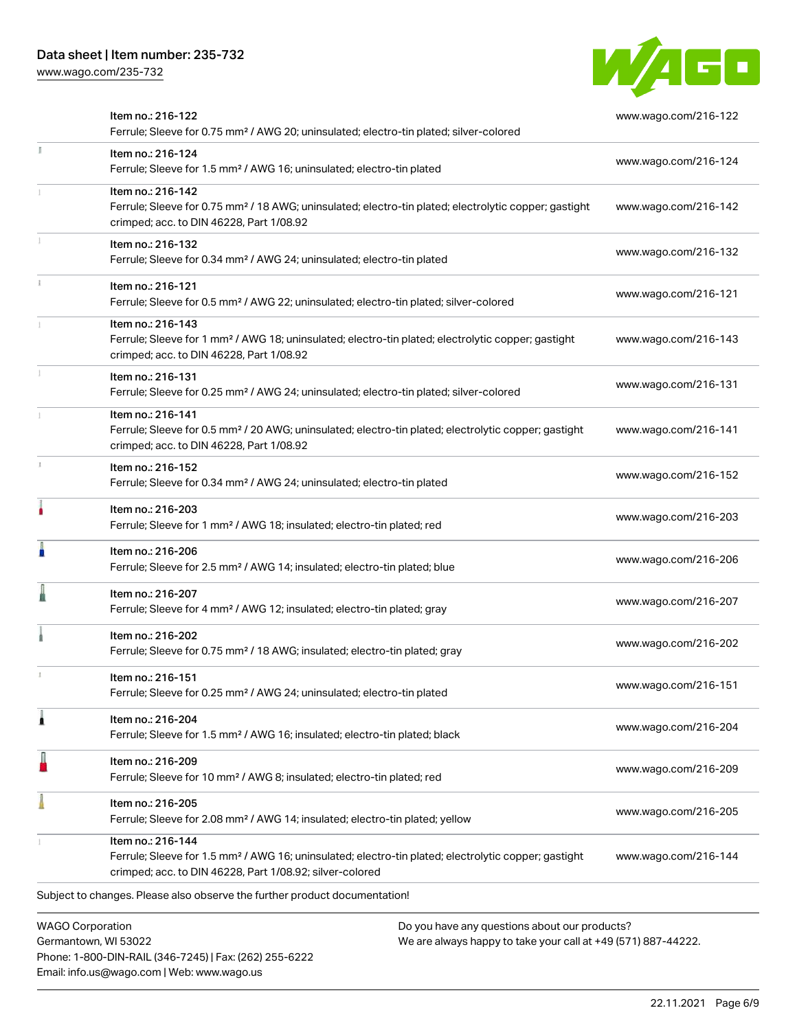Phone: 1-800-DIN-RAIL (346-7245) | Fax: (262) 255-6222

Email: info.us@wago.com | Web: www.wago.us

[www.wago.com/235-732](http://www.wago.com/235-732)



|                                                 | Item no.: 216-122<br>Ferrule; Sleeve for 0.75 mm <sup>2</sup> / AWG 20; uninsulated; electro-tin plated; silver-colored                                                                           |                                                                                                                | www.wago.com/216-122 |  |
|-------------------------------------------------|---------------------------------------------------------------------------------------------------------------------------------------------------------------------------------------------------|----------------------------------------------------------------------------------------------------------------|----------------------|--|
| I                                               | Item no.: 216-124<br>Ferrule; Sleeve for 1.5 mm <sup>2</sup> / AWG 16; uninsulated; electro-tin plated                                                                                            |                                                                                                                | www.wago.com/216-124 |  |
|                                                 | Item no.: 216-142<br>Ferrule; Sleeve for 0.75 mm <sup>2</sup> / 18 AWG; uninsulated; electro-tin plated; electrolytic copper; gastight<br>crimped; acc. to DIN 46228, Part 1/08.92                |                                                                                                                | www.wago.com/216-142 |  |
|                                                 | Item no.: 216-132<br>Ferrule; Sleeve for 0.34 mm <sup>2</sup> / AWG 24; uninsulated; electro-tin plated                                                                                           |                                                                                                                | www.wago.com/216-132 |  |
|                                                 | Item no.: 216-121<br>Ferrule; Sleeve for 0.5 mm <sup>2</sup> / AWG 22; uninsulated; electro-tin plated; silver-colored                                                                            |                                                                                                                | www.wago.com/216-121 |  |
|                                                 | Item no.: 216-143<br>Ferrule; Sleeve for 1 mm <sup>2</sup> / AWG 18; uninsulated; electro-tin plated; electrolytic copper; gastight<br>crimped; acc. to DIN 46228, Part 1/08.92                   |                                                                                                                | www.wago.com/216-143 |  |
|                                                 | Item no.: 216-131<br>Ferrule; Sleeve for 0.25 mm <sup>2</sup> / AWG 24; uninsulated; electro-tin plated; silver-colored                                                                           |                                                                                                                | www.wago.com/216-131 |  |
|                                                 | Item no.: 216-141<br>Ferrule; Sleeve for 0.5 mm <sup>2</sup> / 20 AWG; uninsulated; electro-tin plated; electrolytic copper; gastight<br>crimped; acc. to DIN 46228, Part 1/08.92                 |                                                                                                                | www.wago.com/216-141 |  |
|                                                 | Item no.: 216-152<br>Ferrule; Sleeve for 0.34 mm <sup>2</sup> / AWG 24; uninsulated; electro-tin plated                                                                                           |                                                                                                                | www.wago.com/216-152 |  |
|                                                 | Item no.: 216-203<br>Ferrule; Sleeve for 1 mm <sup>2</sup> / AWG 18; insulated; electro-tin plated; red                                                                                           |                                                                                                                | www.wago.com/216-203 |  |
|                                                 | Item no.: 216-206<br>Ferrule; Sleeve for 2.5 mm <sup>2</sup> / AWG 14; insulated; electro-tin plated; blue                                                                                        |                                                                                                                | www.wago.com/216-206 |  |
|                                                 | Item no.: 216-207<br>Ferrule; Sleeve for 4 mm <sup>2</sup> / AWG 12; insulated; electro-tin plated; gray                                                                                          |                                                                                                                | www.wago.com/216-207 |  |
|                                                 | Item no.: 216-202<br>Ferrule; Sleeve for 0.75 mm <sup>2</sup> / 18 AWG; insulated; electro-tin plated; gray                                                                                       |                                                                                                                | www.wago.com/216-202 |  |
|                                                 | Item no.: 216-151<br>Ferrule; Sleeve for 0.25 mm <sup>2</sup> / AWG 24; uninsulated; electro-tin plated                                                                                           |                                                                                                                | www.wago.com/216-151 |  |
|                                                 | Item no.: 216-204<br>Ferrule; Sleeve for 1.5 mm <sup>2</sup> / AWG 16; insulated; electro-tin plated; black                                                                                       |                                                                                                                | www.wago.com/216-204 |  |
|                                                 | Item no.: 216-209<br>Ferrule; Sleeve for 10 mm <sup>2</sup> / AWG 8; insulated; electro-tin plated; red                                                                                           |                                                                                                                | www.wago.com/216-209 |  |
|                                                 | Item no.: 216-205<br>Ferrule; Sleeve for 2.08 mm <sup>2</sup> / AWG 14; insulated; electro-tin plated; yellow                                                                                     |                                                                                                                | www.wago.com/216-205 |  |
|                                                 | Item no.: 216-144<br>Ferrule; Sleeve for 1.5 mm <sup>2</sup> / AWG 16; uninsulated; electro-tin plated; electrolytic copper; gastight<br>crimped; acc. to DIN 46228, Part 1/08.92; silver-colored |                                                                                                                | www.wago.com/216-144 |  |
|                                                 | Subject to changes. Please also observe the further product documentation!                                                                                                                        |                                                                                                                |                      |  |
| <b>WAGO Corporation</b><br>Germantown, WI 53022 |                                                                                                                                                                                                   | Do you have any questions about our products?<br>We are always happy to take your call at +49 (571) 887-44222. |                      |  |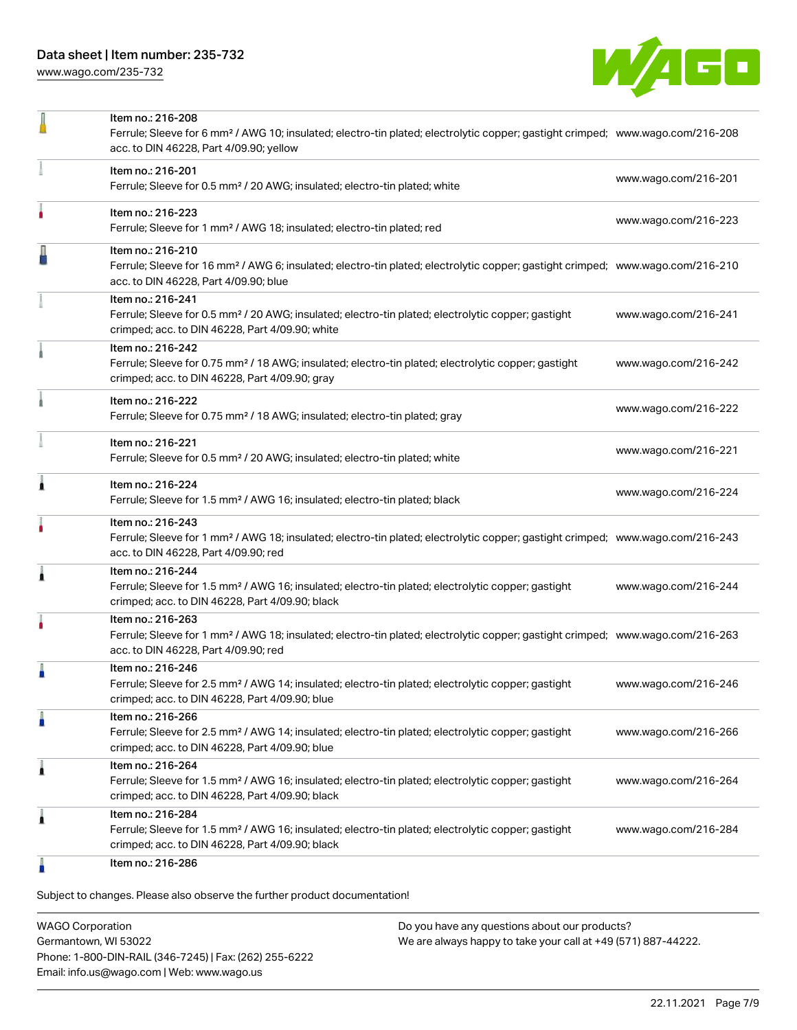[www.wago.com/235-732](http://www.wago.com/235-732)



|   | Item no.: 216-208                                                                                                                                                                                        |                      |
|---|----------------------------------------------------------------------------------------------------------------------------------------------------------------------------------------------------------|----------------------|
|   | Ferrule; Sleeve for 6 mm <sup>2</sup> / AWG 10; insulated; electro-tin plated; electrolytic copper; gastight crimped; www.wago.com/216-208<br>acc. to DIN 46228, Part 4/09.90; yellow                    |                      |
|   | Item no.: 216-201<br>Ferrule; Sleeve for 0.5 mm <sup>2</sup> / 20 AWG; insulated; electro-tin plated; white                                                                                              | www.wago.com/216-201 |
|   | Item no.: 216-223<br>Ferrule; Sleeve for 1 mm <sup>2</sup> / AWG 18; insulated; electro-tin plated; red                                                                                                  | www.wago.com/216-223 |
|   | Item no.: 216-210<br>Ferrule; Sleeve for 16 mm <sup>2</sup> / AWG 6; insulated; electro-tin plated; electrolytic copper; gastight crimped; www.wago.com/216-210<br>acc. to DIN 46228, Part 4/09.90; blue |                      |
|   | Item no.: 216-241<br>Ferrule; Sleeve for 0.5 mm <sup>2</sup> / 20 AWG; insulated; electro-tin plated; electrolytic copper; gastight<br>crimped; acc. to DIN 46228, Part 4/09.90; white                   | www.wago.com/216-241 |
|   | Item no.: 216-242<br>Ferrule; Sleeve for 0.75 mm <sup>2</sup> / 18 AWG; insulated; electro-tin plated; electrolytic copper; gastight<br>crimped; acc. to DIN 46228, Part 4/09.90; gray                   | www.wago.com/216-242 |
|   | Item no.: 216-222<br>Ferrule; Sleeve for 0.75 mm <sup>2</sup> / 18 AWG; insulated; electro-tin plated; gray                                                                                              | www.wago.com/216-222 |
|   | Item no.: 216-221<br>Ferrule; Sleeve for 0.5 mm <sup>2</sup> / 20 AWG; insulated; electro-tin plated; white                                                                                              | www.wago.com/216-221 |
| Â | Item no.: 216-224<br>Ferrule; Sleeve for 1.5 mm <sup>2</sup> / AWG 16; insulated; electro-tin plated; black                                                                                              | www.wago.com/216-224 |
|   | Item no.: 216-243<br>Ferrule; Sleeve for 1 mm <sup>2</sup> / AWG 18; insulated; electro-tin plated; electrolytic copper; gastight crimped; www.wago.com/216-243<br>acc. to DIN 46228, Part 4/09.90; red  |                      |
| ۸ | Item no.: 216-244<br>Ferrule; Sleeve for 1.5 mm <sup>2</sup> / AWG 16; insulated; electro-tin plated; electrolytic copper; gastight<br>crimped; acc. to DIN 46228, Part 4/09.90; black                   | www.wago.com/216-244 |
|   | Item no.: 216-263<br>Ferrule; Sleeve for 1 mm <sup>2</sup> / AWG 18; insulated; electro-tin plated; electrolytic copper; gastight crimped; www.wago.com/216-263<br>acc. to DIN 46228, Part 4/09.90; red  |                      |
|   | Item no.: 216-246<br>Ferrule; Sleeve for 2.5 mm <sup>2</sup> / AWG 14; insulated; electro-tin plated; electrolytic copper; gastight<br>crimped; acc. to DIN 46228, Part 4/09.90; blue                    | www.wago.com/216-246 |
| Ö | Item no.: 216-266<br>Ferrule; Sleeve for 2.5 mm <sup>2</sup> / AWG 14; insulated; electro-tin plated; electrolytic copper; gastight<br>crimped; acc. to DIN 46228, Part 4/09.90; blue                    | www.wago.com/216-266 |
| 1 | Item no.: 216-264<br>Ferrule; Sleeve for 1.5 mm <sup>2</sup> / AWG 16; insulated; electro-tin plated; electrolytic copper; gastight<br>crimped; acc. to DIN 46228, Part 4/09.90; black                   | www.wago.com/216-264 |
| Â | Item no.: 216-284<br>Ferrule; Sleeve for 1.5 mm <sup>2</sup> / AWG 16; insulated; electro-tin plated; electrolytic copper; gastight<br>crimped; acc. to DIN 46228, Part 4/09.90; black                   | www.wago.com/216-284 |
|   | Item no.: 216-286                                                                                                                                                                                        |                      |

Subject to changes. Please also observe the further product documentation!

WAGO Corporation Germantown, WI 53022 Phone: 1-800-DIN-RAIL (346-7245) | Fax: (262) 255-6222 Email: info.us@wago.com | Web: www.wago.us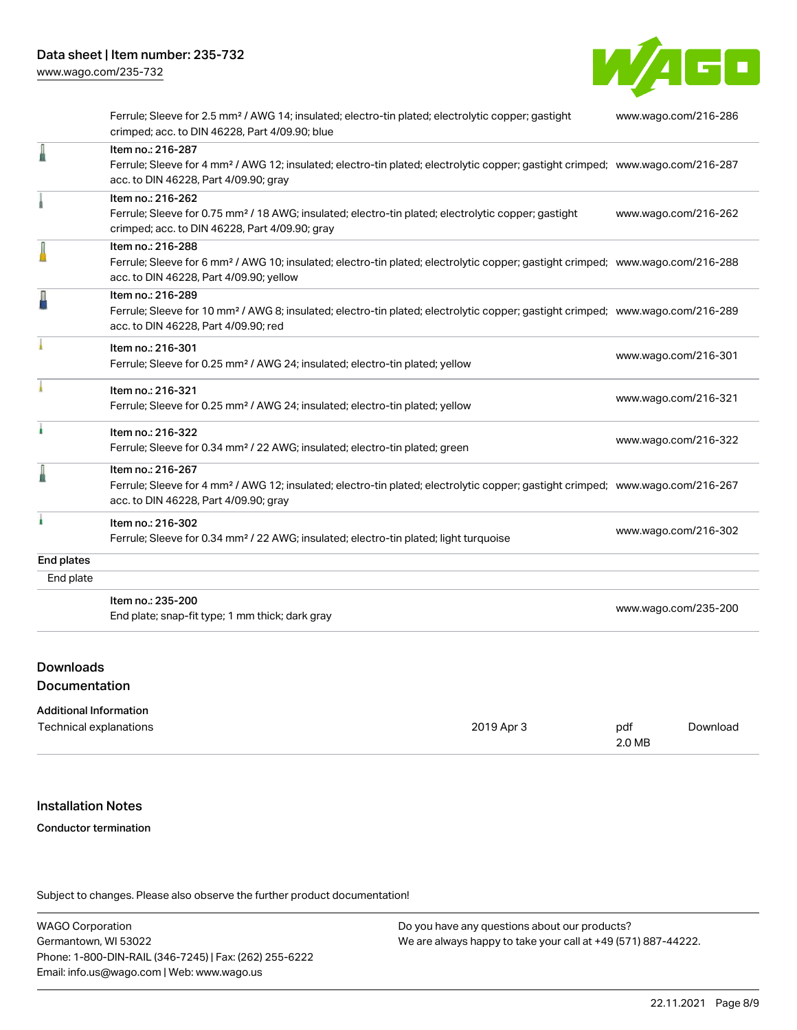

Ferrule; Sleeve for 2.5 mm² / AWG 14; insulated; electro-tin plated; electrolytic copper; gastight crimped; acc. to DIN 46228, Part 4/09.90; blue [www.wago.com/216-286](http://www.wago.com/216-286) Item no.: 216-287 Ferrule; Sleeve for 4 mm² / AWG 12; insulated; electro-tin plated; electrolytic copper; gastight crimped; [www.wago.com/216-287](http://www.wago.com/216-287) acc. to DIN 46228, Part 4/09.90; gray Item no.: 216-262 Ferrule; Sleeve for 0.75 mm² / 18 AWG; insulated; electro-tin plated; electrolytic copper; gastight crimped; acc. to DIN 46228, Part 4/09.90; gray [www.wago.com/216-262](http://www.wago.com/216-262) Item no.: 216-288 Ferrule; Sleeve for 6 mm² / AWG 10; insulated; electro-tin plated; electrolytic copper; gastight crimped; [www.wago.com/216-288](http://www.wago.com/216-288) acc. to DIN 46228, Part 4/09.90; yellow Item no.: 216-289 Ferrule; Sleeve for 10 mm² / AWG 8; insulated; electro-tin plated; electrolytic copper; gastight crimped; [www.wago.com/216-289](http://www.wago.com/216-289) acc. to DIN 46228, Part 4/09.90; red Item no.: 216-301 Ferrule; Sleeve for 0.25 mm² / AWG 24; insulated; electro-tin plated; yellow [www.wago.com/216-301](http://www.wago.com/216-301) Item no.: 216-321 Ferrule; Sleeve for 0.25 mm² / AWG 24; insulated; electro-tin plated; yellow [www.wago.com/216-321](http://www.wago.com/216-321) Item no.: 216-322 Ferrule; Sleeve for 0.34 mm² / 22 AWG; insulated; electro-tin plated; green [www.wago.com/216-322](http://www.wago.com/216-322) Item no.: 216-267 Ferrule; Sleeve for 4 mm² / AWG 12; insulated; electro-tin plated; electrolytic copper; gastight crimped; [www.wago.com/216-267](http://www.wago.com/216-267) acc. to DIN 46228, Part 4/09.90; gray Item no.: 216-302 Ferrule; Sleeve for 0.34 mm² / 22 AWG; insulated; electro-tin plated; light turquoise [www.wago.com/216-302](http://www.wago.com/216-302) End plates End plate Item no.: 235-200 End plate; snap-fit type; 1 mm thick; dark gray [www.wago.com/235-200](http://www.wago.com/235-200)

# Downloads

Documentation

| <b>Additional Information</b> |            |        |          |
|-------------------------------|------------|--------|----------|
| Technical explanations        | 2019 Apr 3 | pdf    | Download |
|                               |            | 2.0 MB |          |

# Installation Notes

#### Conductor termination

Subject to changes. Please also observe the further product documentation!

WAGO Corporation Germantown, WI 53022 Phone: 1-800-DIN-RAIL (346-7245) | Fax: (262) 255-6222 Email: info.us@wago.com | Web: www.wago.us